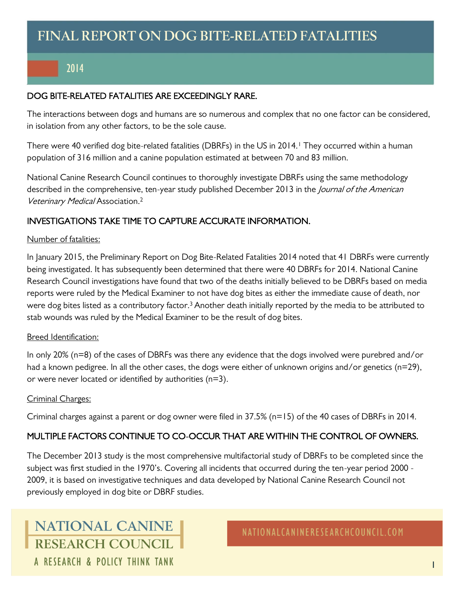## 2014

### DOG BITE-RELATED FATALITIES ARE EXCEEDINGLY RARE.

The interactions between dogs and humans are so numerous and complex that no one factor can be considered, in isolation from any other factors, to be the sole cause.

There were 40 verified dog bite-related fatalities (DBRFs) in the US in 2014.<sup>1</sup> They occurred within a human population of 316 million and a canine population estimated at between 70 and 83 million.

National Canine Research Council continues to thoroughly investigate DBRFs using the same methodology described in the comprehensive, ten-year study published December 2013 in the *Journal of the American* Veterinary Medical Association. 2

## INVESTIGATIONS TAKE TIME TO CAPTURE ACCURATE INFORMATION.

#### Number of fatalities:

In January 2015, the Preliminary Report on Dog Bite-Related Fatalities 2014 noted that 41 DBRFs were currently being investigated. It has subsequently been determined that there were 40 DBRFs for 2014. National Canine Research Council investigations have found that two of the deaths initially believed to be DBRFs based on media reports were ruled by the Medical Examiner to not have dog bites as either the immediate cause of death, nor were dog bites listed as a contributory factor.<sup>3</sup> Another death initially reported by the media to be attributed to stab wounds was ruled by the Medical Examiner to be the result of dog bites.

### Breed Identification:

In only 20% (n=8) of the cases of DBRFs was there any evidence that the dogs involved were purebred and/or had a known pedigree. In all the other cases, the dogs were either of unknown origins and/or genetics (n=29), or were never located or identified by authorities (n=3).

#### Criminal Charges:

Criminal charges against a parent or dog owner were filed in 37.5% (n=15) of the 40 cases of DBRFs in 2014.

### MULTIPLE FACTORS CONTINUE TO CO-OCCUR THAT ARE WITHIN THE CONTROL OF OWNERS.

The December 2013 study is the most comprehensive multifactorial study of DBRFs to be completed since the subject was first studied in the 1970's. Covering all incidents that occurred during the ten-year period 2000 - 2009, it is based on investigative techniques and data developed by National Canine Research Council not previously employed in dog bite or DBRF studies.

# **NATIONAL CANINE** RESEARCH COUNCIL A RESEARCH & POLICY THINK TANK

NATIONALCANINERESEARCHCOUNCIL.COM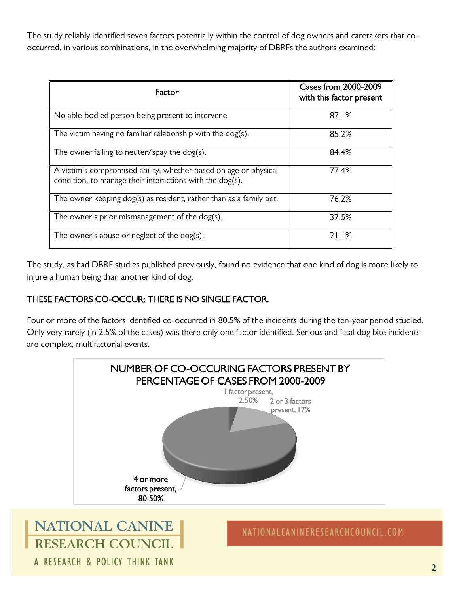The study reliably identified seven factors potentially within the control of dog owners and caretakers that cooccurred, in various combinations, in the overwhelming majority of DBRFs the authors examined:

| Factor                                                                                                                       | <b>Cases from 2000-2009</b><br>with this factor present |
|------------------------------------------------------------------------------------------------------------------------------|---------------------------------------------------------|
| No able-bodied person being present to intervene.                                                                            | 87.1%                                                   |
| The victim having no familiar relationship with the dog(s).                                                                  | 85.2%                                                   |
| The owner failing to neuter/spay the $\log(s)$ .                                                                             | 84.4%                                                   |
| A victim's compromised ability, whether based on age or physical<br>condition, to manage their interactions with the dog(s). | 77.4%                                                   |
| The owner keeping dog(s) as resident, rather than as a family pet.                                                           | 76.2%                                                   |
| The owner's prior mismanagement of the dog(s).                                                                               | 37.5%                                                   |
| The owner's abuse or neglect of the dog(s).                                                                                  | 21.1%                                                   |

The study, as had DBRF studies published previously, found no evidence that one kind of dog is more likely to injure a human being than another kind of dog.

## THESE FACTORS CO-OCCUR: THERE IS NO SINGLE FACTOR.

A RESEARCH & POLICY THINK TANK

Four or more of the factors identified co-occurred in 80.5% of the incidents during the ten-year period studied. Only very rarely (in 2.5% of the cases) was there only one factor identified. Serious and fatal dog bite incidents are complex, multifactorial events.